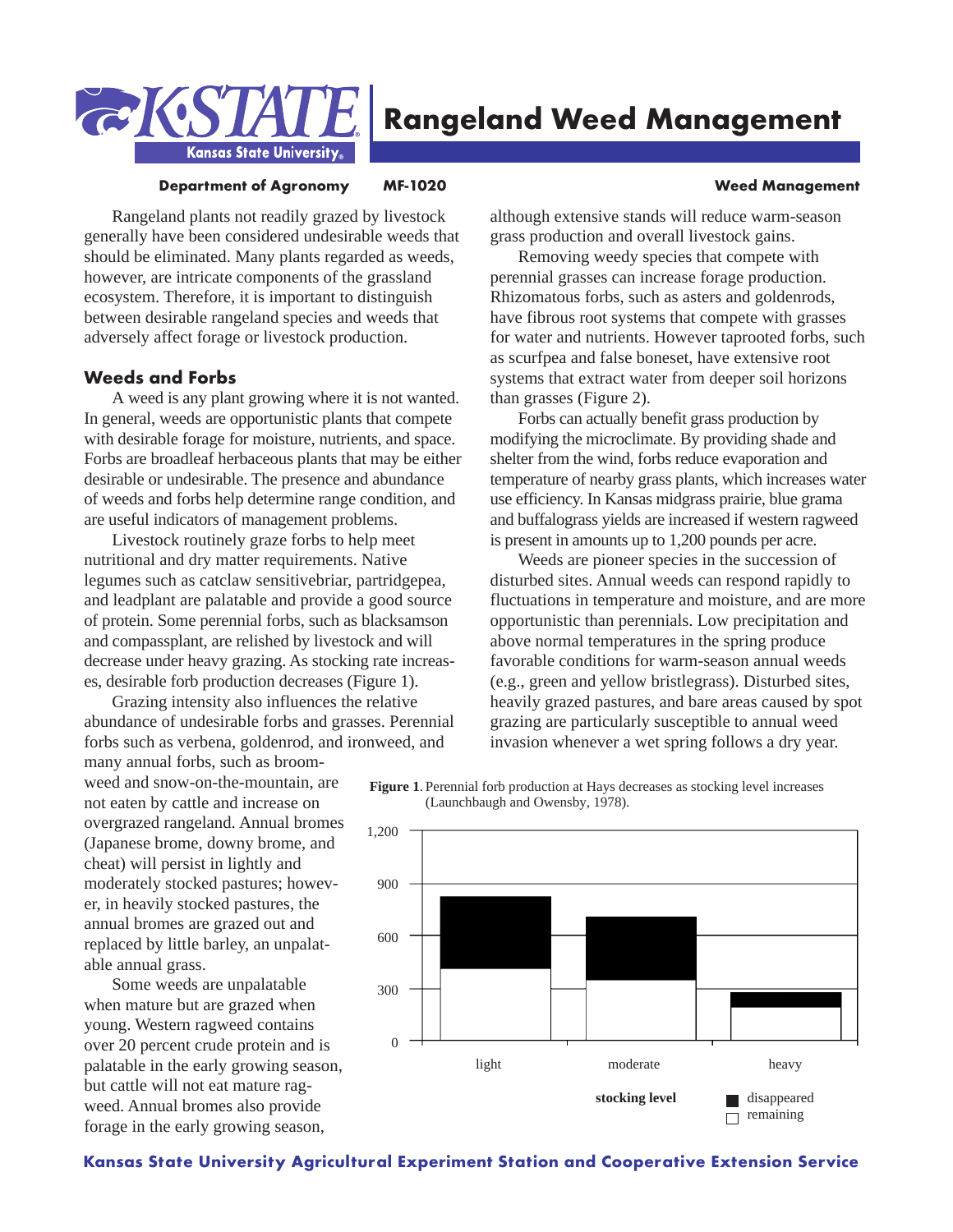

# **Rangeland Weed Management**

#### **Department of Agronomy MF-1020 Weed Management**

Rangeland plants not readily grazed by livestock generally have been considered undesirable weeds that should be eliminated. Many plants regarded as weeds, however, are intricate components of the grassland ecosystem. Therefore, it is important to distinguish between desirable rangeland species and weeds that adversely affect forage or livestock production.

### **Weeds and Forbs**

A weed is any plant growing where it is not wanted. In general, weeds are opportunistic plants that compete with desirable forage for moisture, nutrients, and space. Forbs are broadleaf herbaceous plants that may be either desirable or undesirable. The presence and abundance of weeds and forbs help determine range condition, and are useful indicators of management problems.

Livestock routinely graze forbs to help meet nutritional and dry matter requirements. Native legumes such as catclaw sensitivebriar, partridgepea, and leadplant are palatable and provide a good source of protein. Some perennial forbs, such as blacksamson and compassplant, are relished by livestock and will decrease under heavy grazing. As stocking rate increases, desirable forb production decreases (Figure 1).

Grazing intensity also influences the relative abundance of undesirable forbs and grasses. Perennial forbs such as verbena, goldenrod, and ironweed, and

many annual forbs, such as broomweed and snow-on-the-mountain, are not eaten by cattle and increase on overgrazed rangeland. Annual bromes (Japanese brome, downy brome, and cheat) will persist in lightly and moderately stocked pastures; however, in heavily stocked pastures, the annual bromes are grazed out and replaced by little barley, an unpalatable annual grass.

Some weeds are unpalatable when mature but are grazed when young. Western ragweed contains over 20 percent crude protein and is palatable in the early growing season, but cattle will not eat mature ragweed. Annual bromes also provide forage in the early growing season,

although extensive stands will reduce warm-season grass production and overall livestock gains.

Removing weedy species that compete with perennial grasses can increase forage production. Rhizomatous forbs, such as asters and goldenrods, have fibrous root systems that compete with grasses for water and nutrients. However taprooted forbs, such as scurfpea and false boneset, have extensive root systems that extract water from deeper soil horizons than grasses (Figure 2).

Forbs can actually benefit grass production by modifying the microclimate. By providing shade and shelter from the wind, forbs reduce evaporation and temperature of nearby grass plants, which increases water use efficiency. In Kansas midgrass prairie, blue grama and buffalograss yields are increased if western ragweed is present in amounts up to 1,200 pounds per acre.

Weeds are pioneer species in the succession of disturbed sites. Annual weeds can respond rapidly to fluctuations in temperature and moisture, and are more opportunistic than perennials. Low precipitation and above normal temperatures in the spring produce favorable conditions for warm-season annual weeds (e.g., green and yellow bristlegrass). Disturbed sites, heavily grazed pastures, and bare areas caused by spot grazing are particularly susceptible to annual weed invasion whenever a wet spring follows a dry year.



#### **Figure 1**. Perennial forb production at Hays decreases as stocking level increases (Launchbaugh and Owensby, 1978).

#### **Kansas State University Agricultural Experiment Station and Cooperative Extension Service**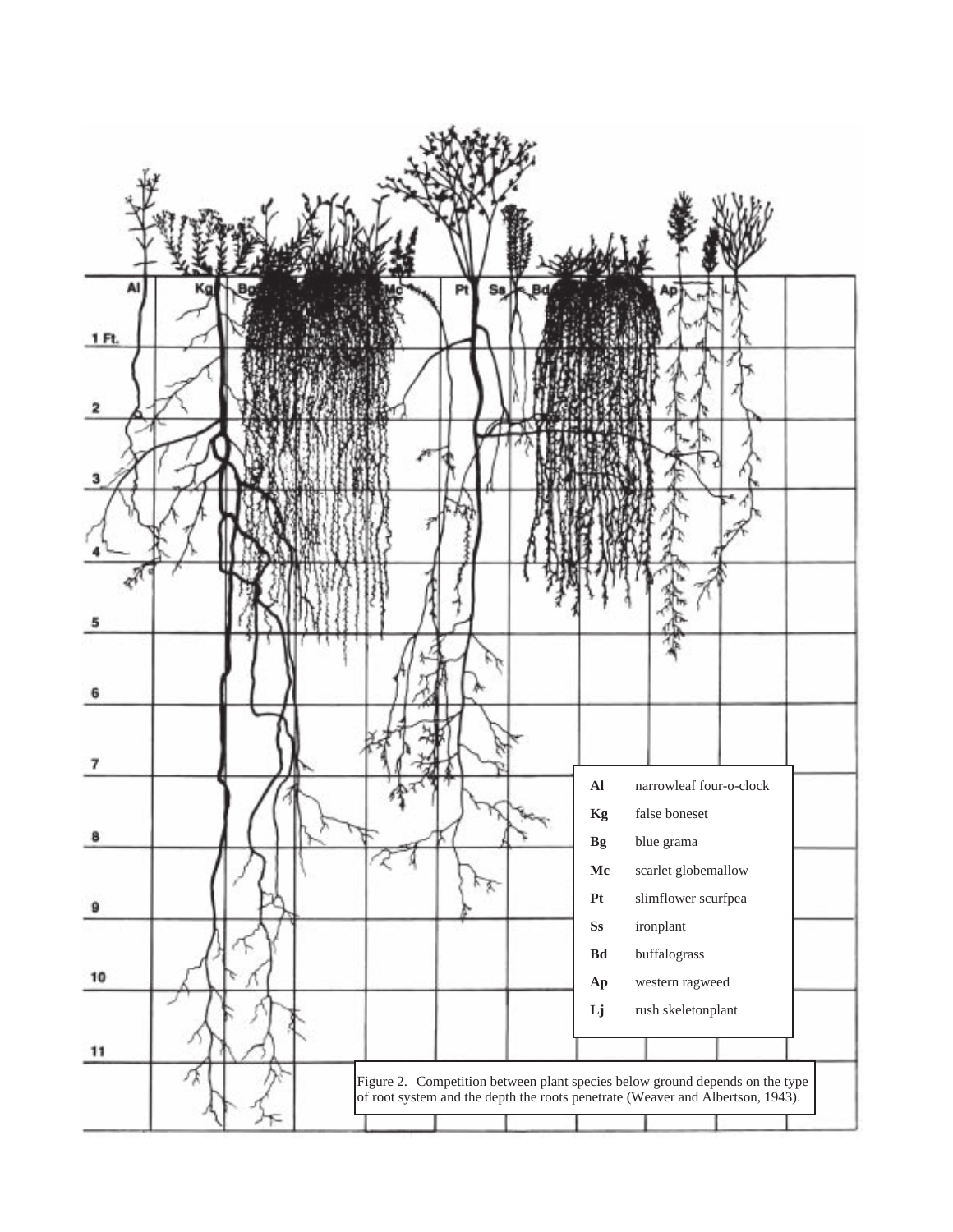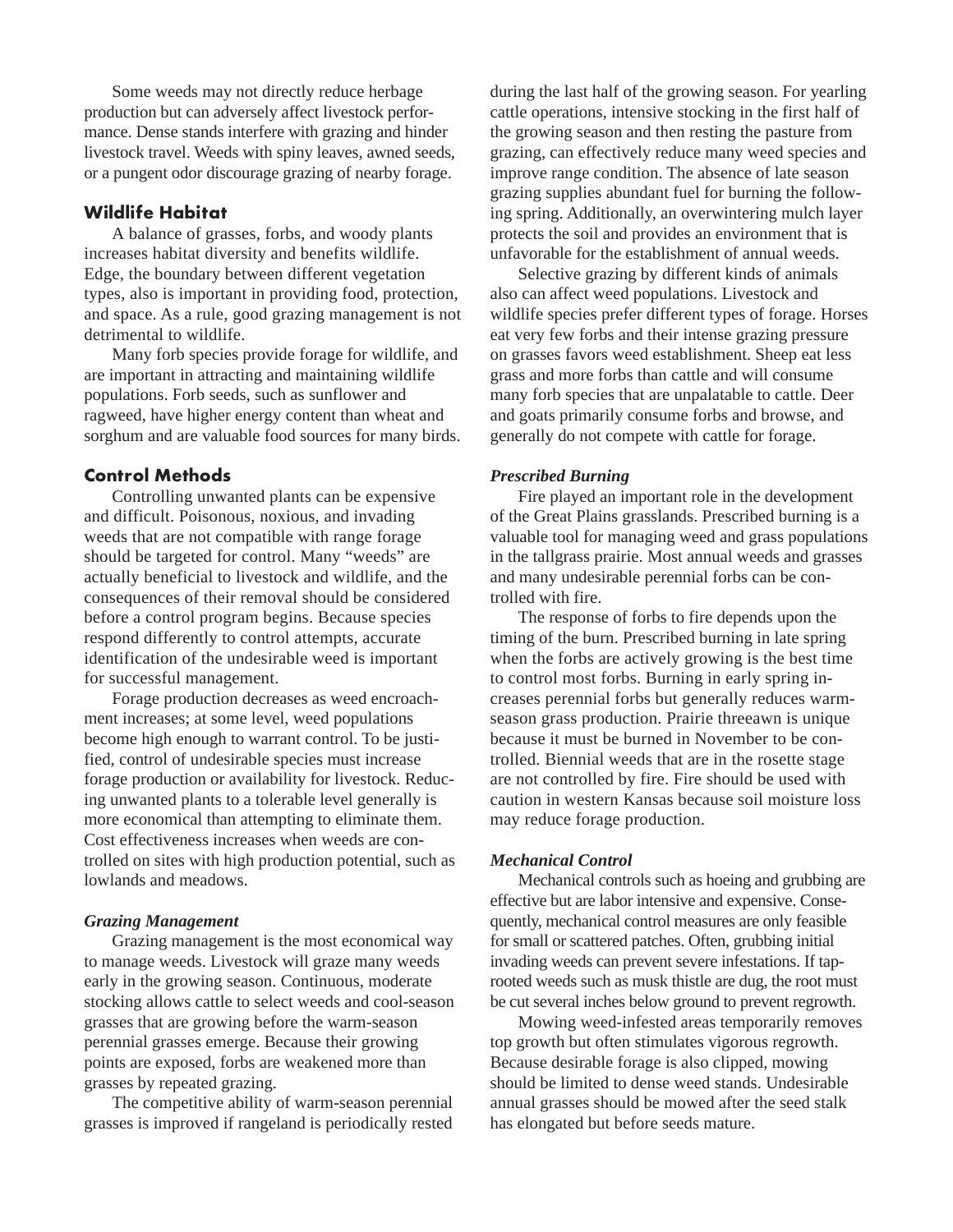Some weeds may not directly reduce herbage production but can adversely affect livestock performance. Dense stands interfere with grazing and hinder livestock travel. Weeds with spiny leaves, awned seeds, or a pungent odor discourage grazing of nearby forage.

### **Wildlife Habitat**

A balance of grasses, forbs, and woody plants increases habitat diversity and benefits wildlife. Edge, the boundary between different vegetation types, also is important in providing food, protection, and space. As a rule, good grazing management is not detrimental to wildlife.

Many forb species provide forage for wildlife, and are important in attracting and maintaining wildlife populations. Forb seeds, such as sunflower and ragweed, have higher energy content than wheat and sorghum and are valuable food sources for many birds.

## **Control Methods**

Controlling unwanted plants can be expensive and difficult. Poisonous, noxious, and invading weeds that are not compatible with range forage should be targeted for control. Many "weeds" are actually beneficial to livestock and wildlife, and the consequences of their removal should be considered before a control program begins. Because species respond differently to control attempts, accurate identification of the undesirable weed is important for successful management.

Forage production decreases as weed encroachment increases; at some level, weed populations become high enough to warrant control. To be justified, control of undesirable species must increase forage production or availability for livestock. Reducing unwanted plants to a tolerable level generally is more economical than attempting to eliminate them. Cost effectiveness increases when weeds are controlled on sites with high production potential, such as lowlands and meadows.

#### *Grazing Management*

Grazing management is the most economical way to manage weeds. Livestock will graze many weeds early in the growing season. Continuous, moderate stocking allows cattle to select weeds and cool-season grasses that are growing before the warm-season perennial grasses emerge. Because their growing points are exposed, forbs are weakened more than grasses by repeated grazing.

The competitive ability of warm-season perennial grasses is improved if rangeland is periodically rested during the last half of the growing season. For yearling cattle operations, intensive stocking in the first half of the growing season and then resting the pasture from grazing, can effectively reduce many weed species and improve range condition. The absence of late season grazing supplies abundant fuel for burning the following spring. Additionally, an overwintering mulch layer protects the soil and provides an environment that is unfavorable for the establishment of annual weeds.

Selective grazing by different kinds of animals also can affect weed populations. Livestock and wildlife species prefer different types of forage. Horses eat very few forbs and their intense grazing pressure on grasses favors weed establishment. Sheep eat less grass and more forbs than cattle and will consume many forb species that are unpalatable to cattle. Deer and goats primarily consume forbs and browse, and generally do not compete with cattle for forage.

#### *Prescribed Burning*

Fire played an important role in the development of the Great Plains grasslands. Prescribed burning is a valuable tool for managing weed and grass populations in the tallgrass prairie. Most annual weeds and grasses and many undesirable perennial forbs can be controlled with fire.

The response of forbs to fire depends upon the timing of the burn. Prescribed burning in late spring when the forbs are actively growing is the best time to control most forbs. Burning in early spring increases perennial forbs but generally reduces warmseason grass production. Prairie threeawn is unique because it must be burned in November to be controlled. Biennial weeds that are in the rosette stage are not controlled by fire. Fire should be used with caution in western Kansas because soil moisture loss may reduce forage production.

#### *Mechanical Control*

Mechanical controls such as hoeing and grubbing are effective but are labor intensive and expensive. Consequently, mechanical control measures are only feasible for small or scattered patches. Often, grubbing initial invading weeds can prevent severe infestations. If taprooted weeds such as musk thistle are dug, the root must be cut several inches below ground to prevent regrowth.

Mowing weed-infested areas temporarily removes top growth but often stimulates vigorous regrowth. Because desirable forage is also clipped, mowing should be limited to dense weed stands. Undesirable annual grasses should be mowed after the seed stalk has elongated but before seeds mature.